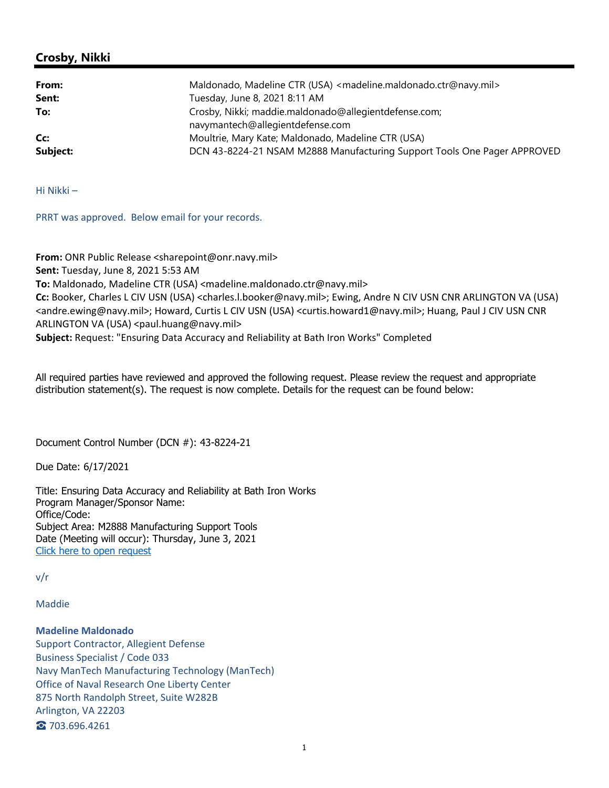## **Crosby, Nikki**

| From:    | Maldonado, Madeline CTR (USA) <madeline.maldonado.ctr@navy.mil></madeline.maldonado.ctr@navy.mil> |
|----------|---------------------------------------------------------------------------------------------------|
| Sent:    | Tuesday, June 8, 2021 8:11 AM                                                                     |
| To:      | Crosby, Nikki; maddie.maldonado@allegientdefense.com;                                             |
|          | navymantech@allegientdefense.com                                                                  |
| Cc:      | Moultrie, Mary Kate; Maldonado, Madeline CTR (USA)                                                |
| Subject: | DCN 43-8224-21 NSAM M2888 Manufacturing Support Tools One Pager APPROVED                          |

Hi Nikki –

PRRT was approved. Below email for your records.

**From:** ONR Public Release <sharepoint@onr.navy.mil> **Sent:** Tuesday, June 8, 2021 5:53 AM **To:** Maldonado, Madeline CTR (USA) <madeline.maldonado.ctr@navy.mil> **Cc:** Booker, Charles L CIV USN (USA) <charles.l.booker@navy.mil>; Ewing, Andre N CIV USN CNR ARLINGTON VA (USA) <andre.ewing@navy.mil>; Howard, Curtis L CIV USN (USA) <curtis.howard1@navy.mil>; Huang, Paul J CIV USN CNR ARLINGTON VA (USA) <paul.huang@navy.mil> **Subject:** Request: "Ensuring Data Accuracy and Reliability at Bath Iron Works" Completed

All required parties have reviewed and approved the following request. Please review the request and appropriate distribution statement(s). The request is now complete. Details for the request can be found below:

Document Control Number (DCN #): 43-8224-21

Due Date: 6/17/2021

Title: Ensuring Data Accuracy and Reliability at Bath Iron Works Program Manager/Sponsor Name: Office/Code: Subject Area: M2888 Manufacturing Support Tools Date (Meeting will occur): Thursday, June 3, 2021 Click here to open request

v/r

Maddie

**Madeline Maldonado** Support Contractor, Allegient Defense Business Specialist / Code 033 Navy ManTech Manufacturing Technology (ManTech) Office of Naval Research One Liberty Center 875 North Randolph Street, Suite W282B Arlington, VA 22203 ☎ 703.696.4261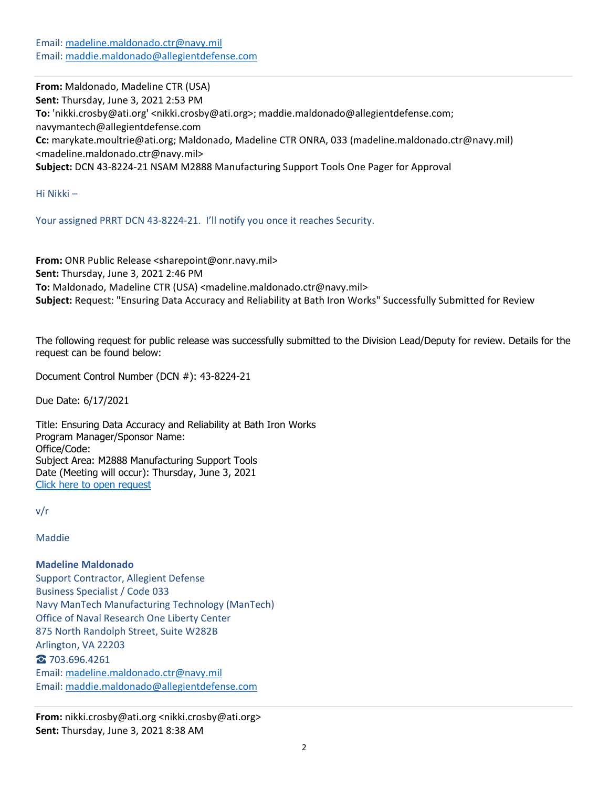Email: madeline.maldonado.ctr@navy.mil Email: maddie.maldonado@allegientdefense.com

**From:** Maldonado, Madeline CTR (USA) **Sent:** Thursday, June 3, 2021 2:53 PM **To:** 'nikki.crosby@ati.org' <nikki.crosby@ati.org>; maddie.maldonado@allegientdefense.com; navymantech@allegientdefense.com **Cc:** marykate.moultrie@ati.org; Maldonado, Madeline CTR ONRA, 033 (madeline.maldonado.ctr@navy.mil) <madeline.maldonado.ctr@navy.mil> **Subject:** DCN 43‐8224‐21 NSAM M2888 Manufacturing Support Tools One Pager for Approval

Hi Nikki –

Your assigned PRRT DCN 43-8224-21. I'll notify you once it reaches Security.

**From:** ONR Public Release <sharepoint@onr.navy.mil> **Sent:** Thursday, June 3, 2021 2:46 PM **To:** Maldonado, Madeline CTR (USA) <madeline.maldonado.ctr@navy.mil> **Subject:** Request: "Ensuring Data Accuracy and Reliability at Bath Iron Works" Successfully Submitted for Review

The following request for public release was successfully submitted to the Division Lead/Deputy for review. Details for the request can be found below:

Document Control Number (DCN #): 43-8224-21

Due Date: 6/17/2021

Title: Ensuring Data Accuracy and Reliability at Bath Iron Works Program Manager/Sponsor Name: Office/Code: Subject Area: M2888 Manufacturing Support Tools Date (Meeting will occur): Thursday, June 3, 2021 Click here to open request

v/r

Maddie

**Madeline Maldonado** Support Contractor, Allegient Defense Business Specialist / Code 033 Navy ManTech Manufacturing Technology (ManTech) Office of Naval Research One Liberty Center 875 North Randolph Street, Suite W282B Arlington, VA 22203 ☎ 703.696.4261 Email: madeline.maldonado.ctr@navy.mil Email: maddie.maldonado@allegientdefense.com

**From:** nikki.crosby@ati.org <nikki.crosby@ati.org> **Sent:** Thursday, June 3, 2021 8:38 AM